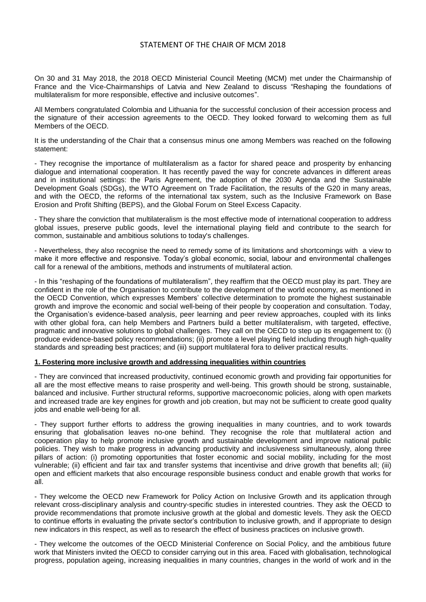# STATEMENT OF THE CHAIR OF MCM 2018

On 30 and 31 May 2018, the 2018 OECD Ministerial Council Meeting (MCM) met under the Chairmanship of France and the Vice-Chairmanships of Latvia and New Zealand to discuss "Reshaping the foundations of multilateralism for more responsible, effective and inclusive outcomes".

All Members congratulated Colombia and Lithuania for the successful conclusion of their accession process and the signature of their accession agreements to the OECD. They looked forward to welcoming them as full Members of the OECD.

It is the understanding of the Chair that a consensus minus one among Members was reached on the following statement:

- They recognise the importance of multilateralism as a factor for shared peace and prosperity by enhancing dialogue and international cooperation. It has recently paved the way for concrete advances in different areas and in institutional settings: the Paris Agreement, the adoption of the 2030 Agenda and the Sustainable Development Goals (SDGs), the WTO Agreement on Trade Facilitation, the results of the G20 in many areas, and with the OECD, the reforms of the international tax system, such as the Inclusive Framework on Base Erosion and Profit Shifting (BEPS), and the Global Forum on Steel Excess Capacity.

- They share the conviction that multilateralism is the most effective mode of international cooperation to address global issues, preserve public goods, level the international playing field and contribute to the search for common, sustainable and ambitious solutions to today's challenges.

- Nevertheless, they also recognise the need to remedy some of its limitations and shortcomings with a view to make it more effective and responsive. Today's global economic, social, labour and environmental challenges call for a renewal of the ambitions, methods and instruments of multilateral action.

- In this "reshaping of the foundations of multilateralism", they reaffirm that the OECD must play its part. They are confident in the role of the Organisation to contribute to the development of the world economy, as mentioned in the OECD Convention, which expresses Members' collective determination to promote the highest sustainable growth and improve the economic and social well-being of their people by cooperation and consultation. Today, the Organisation's evidence-based analysis, peer learning and peer review approaches, coupled with its links with other global fora, can help Members and Partners build a better multilateralism, with targeted, effective, pragmatic and innovative solutions to global challenges. They call on the OECD to step up its engagement to: (i) produce evidence-based policy recommendations; (ii) promote a level playing field including through high-quality standards and spreading best practices; and (iii) support multilateral fora to deliver practical results.

# **1. Fostering more inclusive growth and addressing inequalities within countries**

- They are convinced that increased productivity, continued economic growth and providing fair opportunities for all are the most effective means to raise prosperity and well-being. This growth should be strong, sustainable, balanced and inclusive. Further structural reforms, supportive macroeconomic policies, along with open markets and increased trade are key engines for growth and job creation, but may not be sufficient to create good quality jobs and enable well-being for all.

- They support further efforts to address the growing inequalities in many countries, and to work towards ensuring that globalisation leaves no-one behind. They recognise the role that multilateral action and cooperation play to help promote inclusive growth and sustainable development and improve national public policies. They wish to make progress in advancing productivity and inclusiveness simultaneously, along three pillars of action: (i) promoting opportunities that foster economic and social mobility, including for the most vulnerable; (ii) efficient and fair tax and transfer systems that incentivise and drive growth that benefits all; (iii) open and efficient markets that also encourage responsible business conduct and enable growth that works for all.

- They welcome the OECD new Framework for Policy Action on Inclusive Growth and its application through relevant cross-disciplinary analysis and country-specific studies in interested countries. They ask the OECD to provide recommendations that promote inclusive growth at the global and domestic levels. They ask the OECD to continue efforts in evaluating the private sector's contribution to inclusive growth, and if appropriate to design new indicators in this respect, as well as to research the effect of business practices on inclusive growth.

- They welcome the outcomes of the OECD Ministerial Conference on Social Policy, and the ambitious future work that Ministers invited the OECD to consider carrying out in this area. Faced with globalisation, technological progress, population ageing, increasing inequalities in many countries, changes in the world of work and in the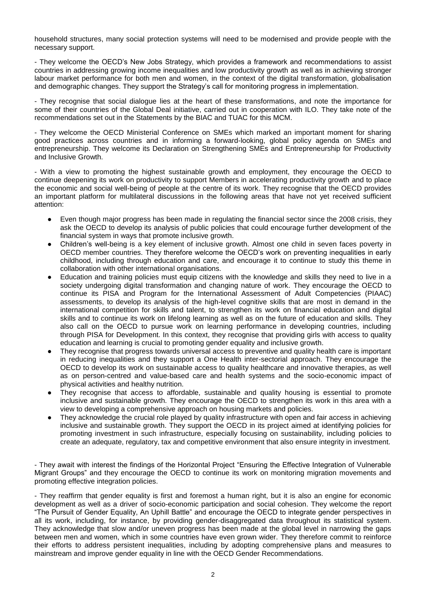household structures, many social protection systems will need to be modernised and provide people with the necessary support.

- They welcome the OECD's New Jobs Strategy, which provides a framework and recommendations to assist countries in addressing growing income inequalities and low productivity growth as well as in achieving stronger labour market performance for both men and women, in the context of the digital transformation, globalisation and demographic changes. They support the Strategy's call for monitoring progress in implementation.

- They recognise that social dialogue lies at the heart of these transformations, and note the importance for some of their countries of the Global Deal initiative, carried out in cooperation with ILO. They take note of the recommendations set out in the Statements by the BIAC and TUAC for this MCM.

- They welcome the OECD Ministerial Conference on SMEs which marked an important moment for sharing good practices across countries and in informing a forward-looking, global policy agenda on SMEs and entrepreneurship. They welcome its Declaration on Strengthening SMEs and Entrepreneurship for Productivity and Inclusive Growth.

- With a view to promoting the highest sustainable growth and employment, they encourage the OECD to continue deepening its work on productivity to support Members in accelerating productivity growth and to place the economic and social well-being of people at the centre of its work. They recognise that the OECD provides an important platform for multilateral discussions in the following areas that have not yet received sufficient attention:

- Even though major progress has been made in regulating the financial sector since the 2008 crisis, they ask the OECD to develop its analysis of public policies that could encourage further development of the financial system in ways that promote inclusive growth.
- Children's well-being is a key element of inclusive growth. Almost one child in seven faces poverty in OECD member countries. They therefore welcome the OECD's work on preventing inequalities in early childhood, including through education and care, and encourage it to continue to study this theme in collaboration with other international organisations.
- Education and training policies must equip citizens with the knowledge and skills they need to live in a society undergoing digital transformation and changing nature of work. They encourage the OECD to continue its PISA and Program for the International Assessment of Adult Competencies (PIAAC) assessments, to develop its analysis of the high-level cognitive skills that are most in demand in the international competition for skills and talent, to strengthen its work on financial education and digital skills and to continue its work on lifelong learning as well as on the future of education and skills. They also call on the OECD to pursue work on learning performance in developing countries, including through PISA for Development. In this context, they recognise that providing girls with access to quality education and learning is crucial to promoting gender equality and inclusive growth.
- They recognise that progress towards universal access to preventive and quality health care is important in reducing inequalities and they support a One Health inter-sectorial approach. They encourage the OECD to develop its work on sustainable access to quality healthcare and innovative therapies, as well as on person-centred and value-based care and health systems and the socio-economic impact of physical activities and healthy nutrition.
- They recognise that access to affordable, sustainable and quality housing is essential to promote inclusive and sustainable growth. They encourage the OECD to strengthen its work in this area with a view to developing a comprehensive approach on housing markets and policies.
- They acknowledge the crucial role played by quality infrastructure with open and fair access in achieving inclusive and sustainable growth. They support the OECD in its project aimed at identifying policies for promoting investment in such infrastructure, especially focusing on sustainability, including policies to create an adequate, regulatory, tax and competitive environment that also ensure integrity in investment.

- They await with interest the findings of the Horizontal Project "Ensuring the Effective Integration of Vulnerable Migrant Groups" and they encourage the OECD to continue its work on monitoring migration movements and promoting effective integration policies.

- They reaffirm that gender equality is first and foremost a human right, but it is also an engine for economic development as well as a driver of socio-economic participation and social cohesion. They welcome the report "The Pursuit of Gender Equality, An Uphill Battle" and encourage the OECD to integrate gender perspectives in all its work, including, for instance, by providing gender-disaggregated data throughout its statistical system. They acknowledge that slow and/or uneven progress has been made at the global level in narrowing the gaps between men and women, which in some countries have even grown wider. They therefore commit to reinforce their efforts to address persistent inequalities, including by adopting comprehensive plans and measures to mainstream and improve gender equality in line with the OECD Gender Recommendations.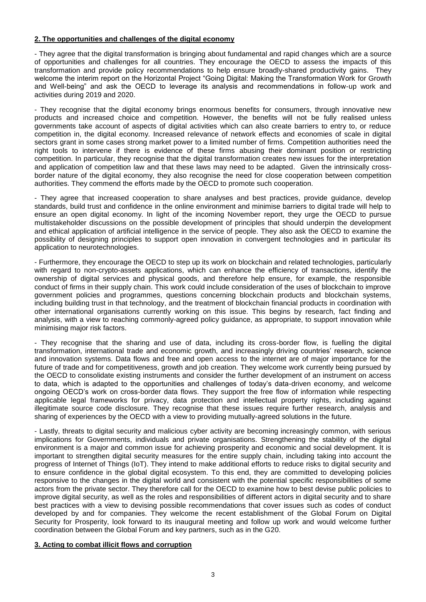### **2. The opportunities and challenges of the digital economy**

- They agree that the digital transformation is bringing about fundamental and rapid changes which are a source of opportunities and challenges for all countries. They encourage the OECD to assess the impacts of this transformation and provide policy recommendations to help ensure broadly-shared productivity gains. They welcome the interim report on the Horizontal Project "Going Digital: Making the Transformation Work for Growth and Well-being" and ask the OECD to leverage its analysis and recommendations in follow-up work and activities during 2019 and 2020.

- They recognise that the digital economy brings enormous benefits for consumers, through innovative new products and increased choice and competition. However, the benefits will not be fully realised unless governments take account of aspects of digital activities which can also create barriers to entry to, or reduce competition in, the digital economy. Increased relevance of network effects and economies of scale in digital sectors grant in some cases strong market power to a limited number of firms. Competition authorities need the right tools to intervene if there is evidence of these firms abusing their dominant position or restricting competition. In particular, they recognise that the digital transformation creates new issues for the interpretation and application of competition law and that these laws may need to be adapted. Given the intrinsically crossborder nature of the digital economy, they also recognise the need for close cooperation between competition authorities. They commend the efforts made by the OECD to promote such cooperation.

- They agree that increased cooperation to share analyses and best practices, provide guidance, develop standards, build trust and confidence in the online environment and minimise barriers to digital trade will help to ensure an open digital economy. In light of the incoming November report, they urge the OECD to pursue multistakeholder discussions on the possible development of principles that should underpin the development and ethical application of artificial intelligence in the service of people. They also ask the OECD to examine the possibility of designing principles to support open innovation in convergent technologies and in particular its application to neurotechnologies.

- Furthermore, they encourage the OECD to step up its work on blockchain and related technologies, particularly with regard to non-crypto-assets applications, which can enhance the efficiency of transactions, identify the ownership of digital services and physical goods, and therefore help ensure, for example, the responsible conduct of firms in their supply chain. This work could include consideration of the uses of blockchain to improve government policies and programmes, questions concerning blockchain products and blockchain systems, including building trust in that technology, and the treatment of blockchain financial products in coordination with other international organisations currently working on this issue. This begins by research, fact finding and analysis, with a view to reaching commonly-agreed policy guidance, as appropriate, to support innovation while minimising major risk factors.

- They recognise that the sharing and use of data, including its cross-border flow, is fuelling the digital transformation, international trade and economic growth, and increasingly driving countries' research, science and innovation systems. Data flows and free and open access to the internet are of major importance for the future of trade and for competitiveness, growth and job creation. They welcome work currently being pursued by the OECD to consolidate existing instruments and consider the further development of an instrument on access to data, which is adapted to the opportunities and challenges of today's data-driven economy, and welcome ongoing OECD's work on cross-border data flows. They support the free flow of information while respecting applicable legal frameworks for privacy, data protection and intellectual property rights, including against illegitimate source code disclosure. They recognise that these issues require further research, analysis and sharing of experiences by the OECD with a view to providing mutually-agreed solutions in the future.

- Lastly, threats to digital security and malicious cyber activity are becoming increasingly common, with serious implications for Governments, individuals and private organisations. Strengthening the stability of the digital environment is a major and common issue for achieving prosperity and economic and social development. It is important to strengthen digital security measures for the entire supply chain, including taking into account the progress of Internet of Things (IoT). They intend to make additional efforts to reduce risks to digital security and to ensure confidence in the global digital ecosystem. To this end, they are committed to developing policies responsive to the changes in the digital world and consistent with the potential specific responsibilities of some actors from the private sector. They therefore call for the OECD to examine how to best devise public policies to improve digital security, as well as the roles and responsibilities of different actors in digital security and to share best practices with a view to devising possible recommendations that cover issues such as codes of conduct developed by and for companies. They welcome the recent establishment of the Global Forum on Digital Security for Prosperity, look forward to its inaugural meeting and follow up work and would welcome further coordination between the Global Forum and key partners, such as in the G20.

# **3. Acting to combat illicit flows and corruption**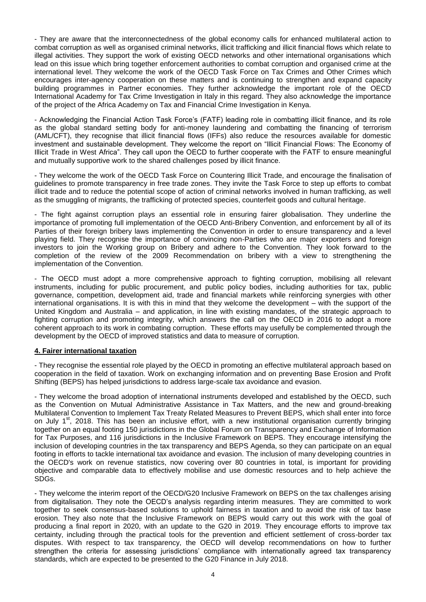- They are aware that the interconnectedness of the global economy calls for enhanced multilateral action to combat corruption as well as organised criminal networks, illicit trafficking and illicit financial flows which relate to illegal activities. They support the work of existing OECD networks and other international organisations which lead on this issue which bring together enforcement authorities to combat corruption and organised crime at the international level. They welcome the work of the OECD Task Force on Tax Crimes and Other Crimes which encourages inter-agency cooperation on these matters and is continuing to strengthen and expand capacity building programmes in Partner economies. They further acknowledge the important role of the OECD International Academy for Tax Crime Investigation in Italy in this regard. They also acknowledge the importance of the project of the Africa Academy on Tax and Financial Crime Investigation in Kenya.

- Acknowledging the Financial Action Task Force's (FATF) leading role in combatting illicit finance, and its role as the global standard setting body for anti-money laundering and combatting the financing of terrorism (AML/CFT), they recognise that illicit financial flows (IFFs) also reduce the resources available for domestic investment and sustainable development. They welcome the report on "Illicit Financial Flows: The Economy of Illicit Trade in West Africa". They call upon the OECD to further cooperate with the FATF to ensure meaningful and mutually supportive work to the shared challenges posed by illicit finance.

- They welcome the work of the OECD Task Force on Countering Illicit Trade, and encourage the finalisation of guidelines to promote transparency in free trade zones. They invite the Task Force to step up efforts to combat illicit trade and to reduce the potential scope of action of criminal networks involved in human trafficking, as well as the smuggling of migrants, the trafficking of protected species, counterfeit goods and cultural heritage.

- The fight against corruption plays an essential role in ensuring fairer globalisation. They underline the importance of promoting full implementation of the OECD Anti-Bribery Convention, and enforcement by all of its Parties of their foreign bribery laws implementing the Convention in order to ensure transparency and a level playing field. They recognise the importance of convincing non-Parties who are major exporters and foreign investors to join the Working group on Bribery and adhere to the Convention. They look forward to the completion of the review of the 2009 Recommendation on bribery with a view to strengthening the implementation of the Convention.

- The OECD must adopt a more comprehensive approach to fighting corruption, mobilising all relevant instruments, including for public procurement, and public policy bodies, including authorities for tax, public governance, competition, development aid, trade and financial markets while reinforcing synergies with other international organisations. It is with this in mind that they welcome the development – with the support of the United Kingdom and Australia – and application, in line with existing mandates, of the strategic approach to fighting corruption and promoting integrity, which answers the call on the OECD in 2016 to adopt a more coherent approach to its work in combating corruption. These efforts may usefully be complemented through the development by the OECD of improved statistics and data to measure of corruption.

# **4. Fairer international taxation**

- They recognise the essential role played by the OECD in promoting an effective multilateral approach based on cooperation in the field of taxation. Work on exchanging information and on preventing Base Erosion and Profit Shifting (BEPS) has helped jurisdictions to address large-scale tax avoidance and evasion.

- They welcome the broad adoption of international instruments developed and established by the OECD, such as the Convention on Mutual Administrative Assistance in Tax Matters, and the new and ground-breaking Multilateral Convention to Implement Tax Treaty Related Measures to Prevent BEPS, which shall enter into force on July 1<sup>st</sup>, 2018. This has been an inclusive effort, with a new institutional organisation currently bringing together on an equal footing 150 jurisdictions in the Global Forum on Transparency and Exchange of Information for Tax Purposes, and 116 jurisdictions in the Inclusive Framework on BEPS. They encourage intensifying the inclusion of developing countries in the tax transparency and BEPS Agenda, so they can participate on an equal footing in efforts to tackle international tax avoidance and evasion. The inclusion of many developing countries in the OECD's work on revenue statistics, now covering over 80 countries in total, is important for providing objective and comparable data to effectively mobilise and use domestic resources and to help achieve the SDGs.

- They welcome the interim report of the OECD/G20 Inclusive Framework on BEPS on the tax challenges arising from digitalisation. They note the OECD's analysis regarding interim measures. They are committed to work together to seek consensus-based solutions to uphold fairness in taxation and to avoid the risk of tax base erosion. They also note that the Inclusive Framework on BEPS would carry out this work with the goal of producing a final report in 2020, with an update to the G20 in 2019. They encourage efforts to improve tax certainty, including through the practical tools for the prevention and efficient settlement of cross-border tax disputes. With respect to tax transparency, the OECD will develop recommendations on how to further strengthen the criteria for assessing jurisdictions' compliance with internationally agreed tax transparency standards, which are expected to be presented to the G20 Finance in July 2018.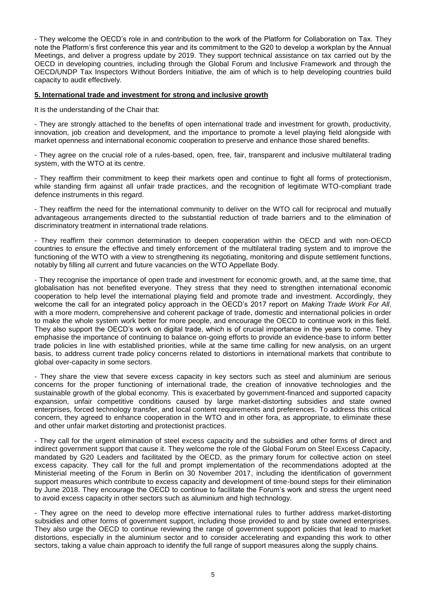- They welcome the OECD's role in and contribution to the work of the Platform for Collaboration on Tax. They note the Platform's first conference this year and its commitment to the G20 to develop a workplan by the Annual Meetings, and deliver a progress update by 2019. They support technical assistance on tax carried out by the OECD in developing countries, including through the Global Forum and Inclusive Framework and through the OECD/UNDP Tax Inspectors Without Borders Initiative, the aim of which is to help developing countries build capacity to audit effectively.

#### **5. International trade and investment for strong and inclusive growth**

It is the understanding of the Chair that:

- They are strongly attached to the benefits of open international trade and investment for growth, productivity, innovation, job creation and development, and the importance to promote a level playing field alongside with market openness and international economic cooperation to preserve and enhance those shared benefits.

- They agree on the crucial role of a rules-based, open, free, fair, transparent and inclusive multilateral trading system, with the WTO at its centre.

- They reaffirm their commitment to keep their markets open and continue to fight all forms of protectionism, while standing firm against all unfair trade practices, and the recognition of legitimate WTO-compliant trade defence instruments in this regard.

- They reaffirm the need for the international community to deliver on the WTO call for reciprocal and mutually advantageous arrangements directed to the substantial reduction of trade barriers and to the elimination of discriminatory treatment in international trade relations.

- They reaffirm their common determination to deepen cooperation within the OECD and with non-OECD countries to ensure the effective and timely enforcement of the multilateral trading system and to improve the functioning of the WTO with a view to strengthening its negotiating, monitoring and dispute settlement functions, notably by filling all current and future vacancies on the WTO Appellate Body.

- They recognise the importance of open trade and investment for economic growth, and, at the same time, that globalisation has not benefited everyone. They stress that they need to strengthen international economic cooperation to help level the international playing field and promote trade and investment. Accordingly, they welcome the call for an integrated policy approach in the OECD's 2017 report on *Making Trade Work For All*, with a more modern, comprehensive and coherent package of trade, domestic and international policies in order to make the whole system work better for more people, and encourage the OECD to continue work in this field. They also support the OECD's work on digital trade, which is of crucial importance in the years to come. They emphasise the importance of continuing to balance on-going efforts to provide an evidence-base to inform better trade policies in line with established priorities, while at the same time calling for new analysis, on an urgent basis, to address current trade policy concerns related to distortions in international markets that contribute to global over-capacity in some sectors.

- They share the view that severe excess capacity in key sectors such as steel and aluminium are serious concerns for the proper functioning of international trade, the creation of innovative technologies and the sustainable growth of the global economy. This is exacerbated by government-financed and supported capacity expansion, unfair competitive conditions caused by large market-distorting subsidies and state owned enterprises, forced technology transfer, and local content requirements and preferences. To address this critical concern, they agreed to enhance cooperation in the WTO and in other fora, as appropriate, to eliminate these and other unfair market distorting and protectionist practices.

- They call for the urgent elimination of steel excess capacity and the subsidies and other forms of direct and indirect government support that cause it. They welcome the role of the Global Forum on Steel Excess Capacity, mandated by G20 Leaders and facilitated by the OECD, as the primary forum for collective action on steel excess capacity. They call for the full and prompt implementation of the recommendations adopted at the Ministerial meeting of the Forum in Berlin on 30 November 2017, including the identification of government support measures which contribute to excess capacity and development of time-bound steps for their elimination by June 2018. They encourage the OECD to continue to facilitate the Forum's work and stress the urgent need to avoid excess capacity in other sectors such as aluminium and high technology.

- They agree on the need to develop more effective international rules to further address market-distorting subsidies and other forms of government support, including those provided to and by state owned enterprises. They also urge the OECD to continue reviewing the range of government support policies that lead to market distortions, especially in the aluminium sector and to consider accelerating and expanding this work to other sectors, taking a value chain approach to identify the full range of support measures along the supply chains.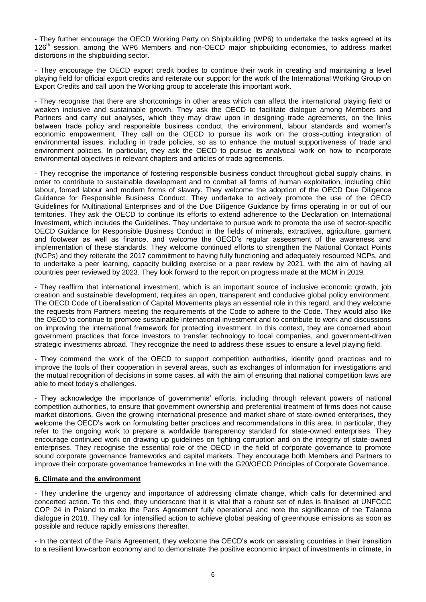- They further encourage the OECD Working Party on Shipbuilding (WP6) to undertake the tasks agreed at its 126<sup>th</sup> session, among the WP6 Members and non-OECD major shipbuilding economies, to address market distortions in the shipbuilding sector.

- They encourage the OECD export credit bodies to continue their work in creating and maintaining a level playing field for official export credits and reiterate our support for the work of the International Working Group on Export Credits and call upon the Working group to accelerate this important work.

- They recognise that there are shortcomings in other areas which can affect the international playing field or weaken inclusive and sustainable growth. They ask the OECD to facilitate dialogue among Members and Partners and carry out analyses, which they may draw upon in designing trade agreements, on the links between trade policy and responsible business conduct, the environment, labour standards and women's economic empowerment. They call on the OECD to pursue its work on the cross-cutting integration of environmental issues, including in trade policies, so as to enhance the mutual supportiveness of trade and environment policies. In particular, they ask the OECD to pursue its analytical work on how to incorporate environmental objectives in relevant chapters and articles of trade agreements.

- They recognise the importance of fostering responsible business conduct throughout global supply chains, in order to contribute to sustainable development and to combat all forms of human exploitation, including child labour, forced labour and modern forms of slavery. They welcome the adoption of the OECD Due Diligence Guidance for Responsible Business Conduct. They undertake to actively promote the use of the OECD Guidelines for Multinational Enterprises and of the Due Diligence Guidance by firms operating in or out of our territories. They ask the OECD to continue its efforts to extend adherence to the Declaration on International Investment, which includes the Guidelines. They undertake to pursue work to promote the use of sector-specific OECD Guidance for Responsible Business Conduct in the fields of minerals, extractives, agriculture, garment and footwear as well as finance, and welcome the OECD's regular assessment of the awareness and implementation of these standards. They welcome continued efforts to strengthen the National Contact Points (NCPs) and they reiterate the 2017 commitment to having fully functioning and adequately resourced NCPs, and to undertake a peer learning, capacity building exercise or a peer review by 2021, with the aim of having all countries peer reviewed by 2023. They look forward to the report on progress made at the MCM in 2019.

- They reaffirm that international investment, which is an important source of inclusive economic growth, job creation and sustainable development, requires an open, transparent and conducive global policy environment. The OECD Code of Liberalisation of Capital Movements plays an essential role in this regard, and they welcome the requests from Partners meeting the requirements of the Code to adhere to the Code. They would also like the OECD to continue to promote sustainable international investment and to contribute to work and discussions on improving the international framework for protecting investment. In this context, they are concerned about government practices that force investors to transfer technology to local companies, and government-driven strategic investments abroad. They recognize the need to address these issues to ensure a level playing field.

- They commend the work of the OECD to support competition authorities, identify good practices and to improve the tools of their cooperation in several areas, such as exchanges of information for investigations and the mutual recognition of decisions in some cases, all with the aim of ensuring that national competition laws are able to meet today's challenges.

- They acknowledge the importance of governments' efforts, including through relevant powers of national competition authorities, to ensure that government ownership and preferential treatment of firms does not cause market distortions. Given the growing international presence and market share of state-owned enterprises, they welcome the OECD's work on formulating better practices and recommendations in this area. In particular, they refer to the ongoing work to prepare a worldwide transparency standard for state-owned enterprises. They encourage continued work on drawing up guidelines on fighting corruption and on the integrity of state-owned enterprises. They recognise the essential role of the OECD in the field of corporate governance to promote sound corporate governance frameworks and capital markets. They encourage both Members and Partners to improve their corporate governance frameworks in line with the G20/OECD Principles of Corporate Governance.

# **6. Climate and the environment**

- They underline the urgency and importance of addressing climate change, which calls for determined and concerted action. To this end, they underscore that it is vital that a robust set of rules is finalised at UNFCCC COP 24 in Poland to make the Paris Agreement fully operational and note the significance of the Talanoa dialogue in 2018. They call for intensified action to achieve global peaking of greenhouse emissions as soon as possible and reduce rapidly emissions thereafter.

- In the context of the Paris Agreement, they welcome the OECD's work on assisting countries in their transition to a resilient low-carbon economy and to demonstrate the positive economic impact of investments in climate, in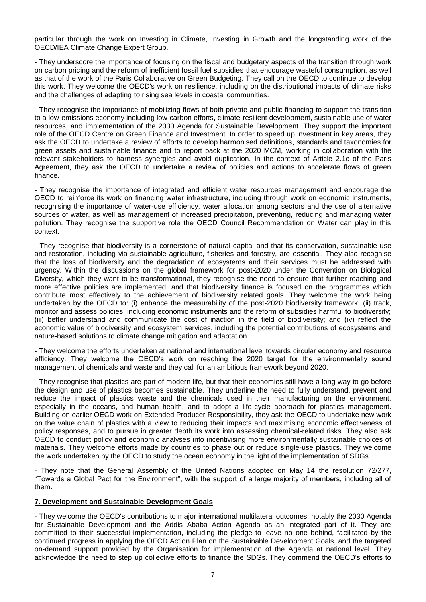particular through the work on Investing in Climate, Investing in Growth and the longstanding work of the OECD/IEA Climate Change Expert Group.

- They underscore the importance of focusing on the fiscal and budgetary aspects of the transition through work on carbon pricing and the reform of inefficient fossil fuel subsidies that encourage wasteful consumption, as well as that of the work of the Paris Collaborative on Green Budgeting. They call on the OECD to continue to develop this work. They welcome the OECD's work on resilience, including on the distributional impacts of climate risks and the challenges of adapting to rising sea levels in coastal communities.

- They recognise the importance of mobilizing flows of both private and public financing to support the transition to a low-emissions economy including low-carbon efforts, climate-resilient development, sustainable use of water resources, and implementation of the 2030 Agenda for Sustainable Development. They support the important role of the OECD Centre on Green Finance and Investment. In order to speed up investment in key areas, they ask the OECD to undertake a review of efforts to develop harmonised definitions, standards and taxonomies for green assets and sustainable finance and to report back at the 2020 MCM, working in collaboration with the relevant stakeholders to harness synergies and avoid duplication. In the context of Article 2.1c of the Paris Agreement, they ask the OECD to undertake a review of policies and actions to accelerate flows of green finance.

- They recognise the importance of integrated and efficient water resources management and encourage the OECD to reinforce its work on financing water infrastructure, including through work on economic instruments, recognising the importance of water-use efficiency, water allocation among sectors and the use of alternative sources of water, as well as management of increased precipitation, preventing, reducing and managing water pollution. They recognise the supportive role the OECD Council Recommendation on Water can play in this context.

- They recognise that biodiversity is a cornerstone of natural capital and that its conservation, sustainable use and restoration, including via sustainable agriculture, fisheries and forestry, are essential. They also recognise that the loss of biodiversity and the degradation of ecosystems and their services must be addressed with urgency. Within the discussions on the global framework for post-2020 under the Convention on Biological Diversity, which they want to be transformational, they recognise the need to ensure that further-reaching and more effective policies are implemented, and that biodiversity finance is focused on the programmes which contribute most effectively to the achievement of biodiversity related goals. They welcome the work being undertaken by the OECD to: (i) enhance the measurability of the post-2020 biodiversity framework; (ii) track, monitor and assess policies, including economic instruments and the reform of subsidies harmful to biodiversity; (iii) better understand and communicate the cost of inaction in the field of biodiversity; and (iv) reflect the economic value of biodiversity and ecosystem services, including the potential contributions of ecosystems and nature-based solutions to climate change mitigation and adaptation.

- They welcome the efforts undertaken at national and international level towards circular economy and resource efficiency. They welcome the OECD's work on reaching the 2020 target for the environmentally sound management of chemicals and waste and they call for an ambitious framework beyond 2020.

- They recognise that plastics are part of modern life, but that their economies still have a long way to go before the design and use of plastics becomes sustainable. They underline the need to fully understand, prevent and reduce the impact of plastics waste and the chemicals used in their manufacturing on the environment, especially in the oceans, and human health, and to adopt a life-cycle approach for plastics management. Building on earlier OECD work on Extended Producer Responsibility, they ask the OECD to undertake new work on the value chain of plastics with a view to reducing their impacts and maximising economic effectiveness of policy responses, and to pursue in greater depth its work into assessing chemical-related risks. They also ask OECD to conduct policy and economic analyses into incentivising more environmentally sustainable choices of materials. They welcome efforts made by countries to phase out or reduce single-use plastics. They welcome the work undertaken by the OECD to study the ocean economy in the light of the implementation of SDGs.

- They note that the General Assembly of the United Nations adopted on May 14 the resolution 72/277, "Towards a Global Pact for the Environment", with the support of a large majority of members, including all of them.

# **7. Development and Sustainable Development Goals**

- They welcome the OECD's contributions to major international multilateral outcomes, notably the 2030 Agenda for Sustainable Development and the Addis Ababa Action Agenda as an integrated part of it. They are committed to their successful implementation, including the pledge to leave no one behind, facilitated by the continued progress in applying the OECD Action Plan on the Sustainable Development Goals, and the targeted on-demand support provided by the Organisation for implementation of the Agenda at national level. They acknowledge the need to step up collective efforts to finance the SDGs. They commend the OECD's efforts to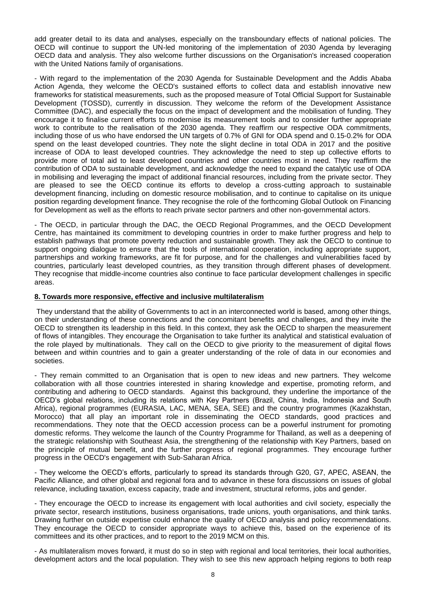add greater detail to its data and analyses, especially on the transboundary effects of national policies. The OECD will continue to support the UN-led monitoring of the implementation of 2030 Agenda by leveraging OECD data and analysis. They also welcome further discussions on the Organisation's increased cooperation with the United Nations family of organisations.

- With regard to the implementation of the 2030 Agenda for Sustainable Development and the Addis Ababa Action Agenda, they welcome the OECD's sustained efforts to collect data and establish innovative new frameworks for statistical measurements, such as the proposed measure of Total Official Support for Sustainable Development (TOSSD), currently in discussion. They welcome the reform of the Development Assistance Committee (DAC), and especially the focus on the impact of development and the mobilisation of funding. They encourage it to finalise current efforts to modernise its measurement tools and to consider further appropriate work to contribute to the realisation of the 2030 agenda. They reaffirm our respective ODA commitments, including those of us who have endorsed the UN targets of 0.7% of GNI for ODA spend and 0.15-0.2% for ODA spend on the least developed countries. They note the slight decline in total ODA in 2017 and the positive increase of ODA to least developed countries. They acknowledge the need to step up collective efforts to provide more of total aid to least developed countries and other countries most in need. They reaffirm the contribution of ODA to sustainable development, and acknowledge the need to expand the catalytic use of ODA in mobilising and leveraging the impact of additional financial resources, including from the private sector. They are pleased to see the OECD continue its efforts to develop a cross-cutting approach to sustainable development financing, including on domestic resource mobilisation, and to continue to capitalise on its unique position regarding development finance. They recognise the role of the forthcoming Global Outlook on Financing for Development as well as the efforts to reach private sector partners and other non-governmental actors.

- The OECD, in particular through the DAC, the OECD Regional Programmes, and the OECD Development Centre, has maintained its commitment to developing countries in order to make further progress and help to establish pathways that promote poverty reduction and sustainable growth. They ask the OECD to continue to support ongoing dialogue to ensure that the tools of international cooperation, including appropriate support, partnerships and working frameworks, are fit for purpose, and for the challenges and vulnerabilities faced by countries, particularly least developed countries, as they transition through different phases of development. They recognise that middle-income countries also continue to face particular development challenges in specific areas.

### **8. Towards more responsive, effective and inclusive multilateralism**

They understand that the ability of Governments to act in an interconnected world is based, among other things, on their understanding of these connections and the concomitant benefits and challenges, and they invite the OECD to strengthen its leadership in this field. In this context, they ask the OECD to sharpen the measurement of flows of intangibles. They encourage the Organisation to take further its analytical and statistical evaluation of the role played by multinationals. They call on the OECD to give priority to the measurement of digital flows between and within countries and to gain a greater understanding of the role of data in our economies and societies.

- They remain committed to an Organisation that is open to new ideas and new partners. They welcome collaboration with all those countries interested in sharing knowledge and expertise, promoting reform, and contributing and adhering to OECD standards. Against this background, they underline the importance of the OECD's global relations, including its relations with Key Partners (Brazil, China, India, Indonesia and South Africa), regional programmes (EURASIA, LAC, MENA, SEA, SEE) and the country programmes (Kazakhstan, Morocco) that all play an important role in disseminating the OECD standards, good practices and recommendations. They note that the OECD accession process can be a powerful instrument for promoting domestic reforms. They welcome the launch of the Country Programme for Thailand, as well as a deepening of the strategic relationship with Southeast Asia, the strengthening of the relationship with Key Partners, based on the principle of mutual benefit, and the further progress of regional programmes. They encourage further progress in the OECD's engagement with Sub-Saharan Africa.

- They welcome the OECD's efforts, particularly to spread its standards through G20, G7, APEC, ASEAN, the Pacific Alliance, and other global and regional fora and to advance in these fora discussions on issues of global relevance, including taxation, excess capacity, trade and investment, structural reforms, jobs and gender.

- They encourage the OECD to increase its engagement with local authorities and civil society, especially the private sector, research institutions, business organisations, trade unions, youth organisations, and think tanks. Drawing further on outside expertise could enhance the quality of OECD analysis and policy recommendations. They encourage the OECD to consider appropriate ways to achieve this, based on the experience of its committees and its other practices, and to report to the 2019 MCM on this.

- As multilateralism moves forward, it must do so in step with regional and local territories, their local authorities, development actors and the local population. They wish to see this new approach helping regions to both reap